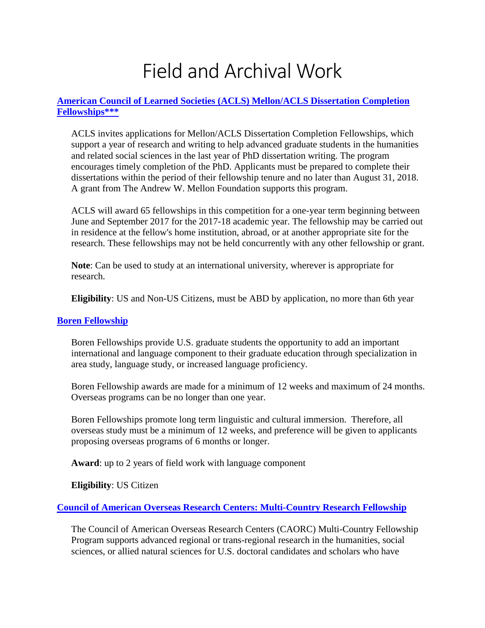# Field and Archival Work

#### **[American Council of Learned Societies \(ACLS\)](http://www.acls.org/grants/Default.aspx?id=512) Mellon/ACLS Dissertation Completion [Fellowships\\*\\*\\*](http://www.acls.org/grants/Default.aspx?id=512)**

ACLS invites applications for Mellon/ACLS Dissertation Completion Fellowships, which support a year of research and writing to help advanced graduate students in the humanities and related social sciences in the last year of PhD dissertation writing. The program encourages timely completion of the PhD. Applicants must be prepared to complete their dissertations within the period of their fellowship tenure and no later than August 31, 2018. A grant from The Andrew W. Mellon Foundation supports this program.

ACLS will award 65 fellowships in this competition for a one-year term beginning between June and September 2017 for the 2017-18 academic year. The fellowship may be carried out in residence at the fellow's home institution, abroad, or at another appropriate site for the research. These fellowships may not be held concurrently with any other fellowship or grant.

**Note**: Can be used to study at an international university, wherever is appropriate for research.

**Eligibility**: US and Non-US Citizens, must be ABD by application, no more than 6th year

#### **[Boren Fellowship](http://www.borenawards.org/boren_fellowship/basics.html)**

Boren Fellowships provide U.S. graduate students the opportunity to add an important international and language component to their graduate education through specialization in area study, language study, or increased language proficiency.

Boren Fellowship awards are made for a minimum of 12 weeks and maximum of 24 months. Overseas programs can be no longer than one year.

Boren Fellowships promote long term linguistic and cultural immersion. Therefore, all overseas study must be a minimum of 12 weeks, and preference will be given to applicants proposing overseas programs of 6 months or longer.

**Award**: up to 2 years of field work with language component

**Eligibility**: US Citizen

#### **[Council of American Overseas Research Centers: Multi-Country Research Fellowship](http://www.caorc.org/fellowships)**

The Council of American Overseas Research Centers (CAORC) Multi-Country Fellowship Program supports advanced regional or trans-regional research in the humanities, social sciences, or allied natural sciences for U.S. doctoral candidates and scholars who have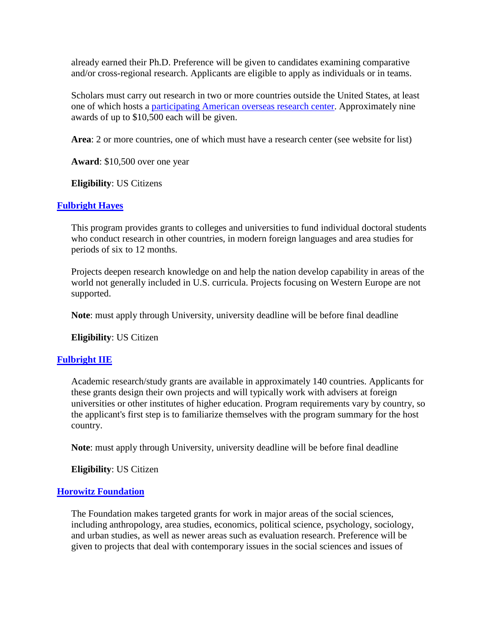already earned their Ph.D. Preference will be given to candidates examining comparative and/or cross-regional research. Applicants are eligible to apply as individuals or in teams.

Scholars must carry out research in two or more countries outside the United States, at least one of which hosts a [participating American overseas research center.](http://caorc.org/programs/multi-centers.htm) Approximately nine awards of up to \$10,500 each will be given.

**Area**: 2 or more countries, one of which must have a research center (see website for list)

**Award**: \$10,500 over one year

**Eligibility**: US Citizens

## **[Fulbright Hayes](http://www2.ed.gov/programs/iegpsddrap/awards.html)**

This program provides grants to colleges and universities to fund individual doctoral students who conduct research in other countries, in modern foreign languages and area studies for periods of six to 12 months.

Projects deepen research knowledge on and help the nation develop capability in areas of the world not generally included in U.S. curricula. Projects focusing on Western Europe are not supported.

**Note**: must apply through University, university deadline will be before final deadline

**Eligibility**: US Citizen

## **[Fulbright IIE](http://www2.ed.gov/programs/iegpsddrap/awards.html)**

Academic research/study grants are available in approximately 140 countries. Applicants for these grants design their own projects and will typically work with advisers at foreign universities or other institutes of higher education. Program requirements vary by country, so the applicant's first step is to familiarize themselves with the program summary for the host country.

**Note**: must apply through University, university deadline will be before final deadline

**Eligibility**: US Citizen

#### **[Horowitz Foundation](http://www.horowitz-foundation.org/grant-info)**

The Foundation makes targeted grants for work in major areas of the social sciences, including anthropology, area studies, economics, political science, psychology, sociology, and urban studies, as well as newer areas such as evaluation research. Preference will be given to projects that deal with contemporary issues in the social sciences and issues of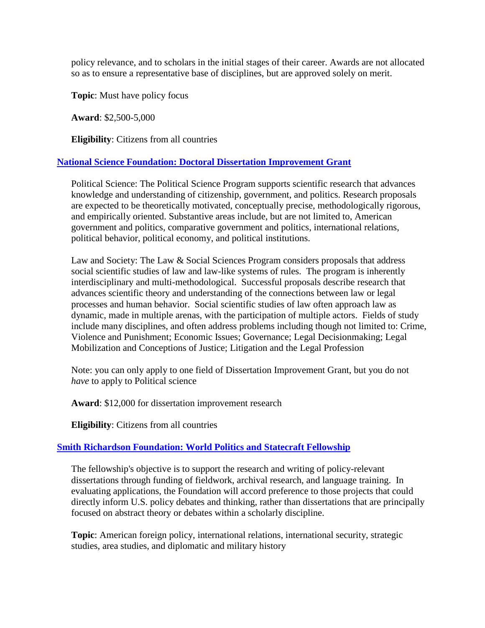policy relevance, and to scholars in the initial stages of their career. Awards are not allocated so as to ensure a representative base of disciplines, but are approved solely on merit.

**Topic**: Must have policy focus

**Award**: \$2,500-5,000

**Eligibility**: Citizens from all countries

## **[National Science Foundation: Doctoral Dissertation Improvement Grant](https://www.nsf.gov/sbe/ses/polisci/ddrip.jsp)**

Political Science: The Political Science Program supports scientific research that advances knowledge and understanding of citizenship, government, and politics. Research proposals are expected to be theoretically motivated, conceptually precise, methodologically rigorous, and empirically oriented. Substantive areas include, but are not limited to, American government and politics, comparative government and politics, international relations, political behavior, political economy, and political institutions.

Law and Society: The Law & Social Sciences Program considers proposals that address social scientific studies of law and law-like systems of rules. The program is inherently interdisciplinary and multi-methodological. Successful proposals describe research that advances scientific theory and understanding of the connections between law or legal processes and human behavior. Social scientific studies of law often approach law as dynamic, made in multiple arenas, with the participation of multiple actors. Fields of study include many disciplines, and often address problems including though not limited to: Crime, Violence and Punishment; Economic Issues; Governance; Legal Decisionmaking; Legal Mobilization and Conceptions of Justice; Litigation and the Legal Profession

Note: you can only apply to one field of Dissertation Improvement Grant, but you do not *have* to apply to Political science

**Award**: \$12,000 for dissertation improvement research

**Eligibility**: Citizens from all countries

## **[Smith Richardson Foundation: World Politics and Statecraft Fellowship](https://www.srf.org/programs/international-security-foreign-policy/world-politics-statecraft-fellowship/)**

The fellowship's objective is to support the research and writing of policy-relevant dissertations through funding of fieldwork, archival research, and language training. In evaluating applications, the Foundation will accord preference to those projects that could directly inform U.S. policy debates and thinking, rather than dissertations that are principally focused on abstract theory or debates within a scholarly discipline.

**Topic**: American foreign policy, international relations, international security, strategic studies, area studies, and diplomatic and military history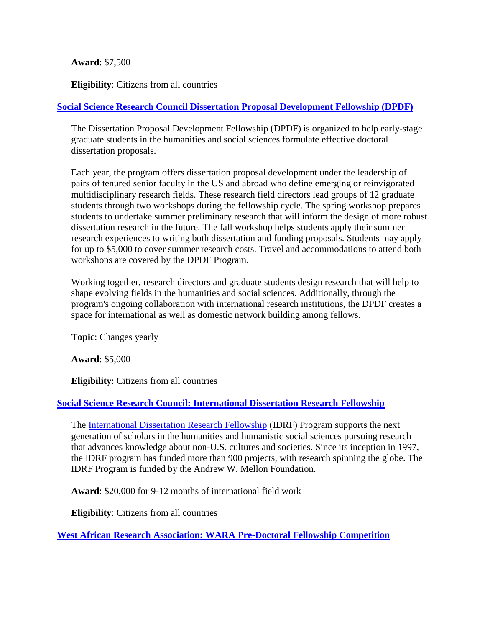#### **Award**: \$7,500

**Eligibility**: Citizens from all countries

# **[Social Science Research Council Dissertation Proposal Development Fellowship \(DPDF\)](http://www.ssrc.org/fellowships/view/dpdf-fellowship/)**

The Dissertation Proposal Development Fellowship (DPDF) is organized to help early-stage graduate students in the humanities and social sciences formulate effective doctoral dissertation proposals.

Each year, the program offers dissertation proposal development under the leadership of pairs of tenured senior faculty in the US and abroad who define emerging or reinvigorated multidisciplinary research fields. These research field directors lead groups of 12 graduate students through two workshops during the fellowship cycle. The spring workshop prepares students to undertake summer preliminary research that will inform the design of more robust dissertation research in the future. The fall workshop helps students apply their summer research experiences to writing both dissertation and funding proposals. Students may apply for up to \$5,000 to cover summer research costs. Travel and accommodations to attend both workshops are covered by the DPDF Program.

Working together, research directors and graduate students design research that will help to shape evolving fields in the humanities and social sciences. Additionally, through the program's ongoing collaboration with international research institutions, the DPDF creates a space for international as well as domestic network building among fellows.

**Topic**: Changes yearly

**Award**: \$5,000

**Eligibility**: Citizens from all countries

## **[Social Science Research Council: International Dissertation Research Fellowship](http://www.ssrc.org/programs/idrf/)**

The [International Dissertation Research Fellowship](http://www.ssrc.org/fellowships/idrf-fellowship) (IDRF) Program supports the next generation of scholars in the humanities and humanistic social sciences pursuing research that advances knowledge about non-U.S. cultures and societies. Since its inception in 1997, the IDRF program has funded more than 900 projects, with research spinning the globe. The IDRF Program is funded by the Andrew W. Mellon Foundation.

**Award**: \$20,000 for 9-12 months of international field work

**Eligibility**: Citizens from all countries

**[West African Research Association: WARA Pre-Doctoral Fellowship Competition](http://www.bu.edu/wara/fellowship/)**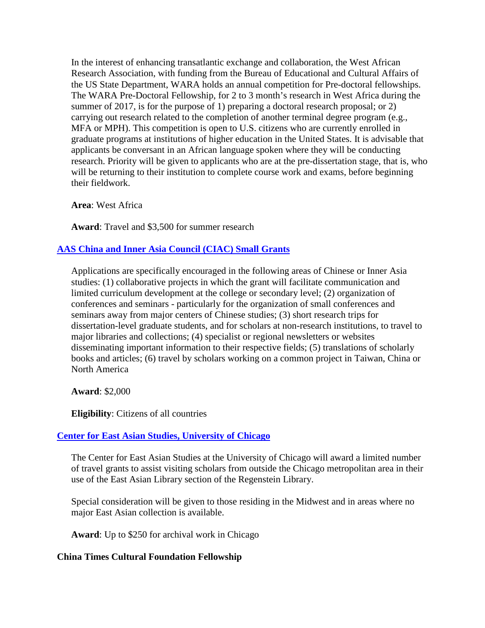In the interest of enhancing transatlantic exchange and collaboration, the West African Research Association, with funding from the Bureau of Educational and Cultural Affairs of the US State Department, WARA holds an annual competition for Pre-doctoral fellowships. The WARA Pre-Doctoral Fellowship, for 2 to 3 month's research in West Africa during the summer of 2017, is for the purpose of 1) preparing a doctoral research proposal; or 2) carrying out research related to the completion of another terminal degree program (e.g., MFA or MPH). This competition is open to U.S. citizens who are currently enrolled in graduate programs at institutions of higher education in the United States. It is advisable that applicants be conversant in an African language spoken where they will be conducting research. Priority will be given to applicants who are at the pre-dissertation stage, that is, who will be returning to their institution to complete course work and exams, before beginning their fieldwork.

**Area**: West Africa

**Award**: Travel and \$3,500 for summer research

## **[AAS China and Inner Asia Council \(CIAC\) Small Grants](http://www.asian-studies.org/Grants-and-Awards/CIAC)**

Applications are specifically encouraged in the following areas of Chinese or Inner Asia studies: (1) collaborative projects in which the grant will facilitate communication and limited curriculum development at the college or secondary level; (2) organization of conferences and seminars - particularly for the organization of small conferences and seminars away from major centers of Chinese studies; (3) short research trips for dissertation-level graduate students, and for scholars at non-research institutions, to travel to major libraries and collections; (4) specialist or regional newsletters or websites disseminating important information to their respective fields; (5) translations of scholarly books and articles; (6) travel by scholars working on a common project in Taiwan, China or North America

**Award**: \$2,000

**Eligibility**: Citizens of all countries

## **[Center for East Asian Studies, University of Chicago](http://ceas.uchicago.edu/page/grants-and-fellowships)**

The Center for East Asian Studies at the University of Chicago will award a limited number of travel grants to assist visiting scholars from outside the Chicago metropolitan area in their use of the East Asian Library section of the Regenstein Library.

Special consideration will be given to those residing in the Midwest and in areas where no major East Asian collection is available.

**Award**: Up to \$250 for archival work in Chicago

## **China Times Cultural Foundation Fellowship**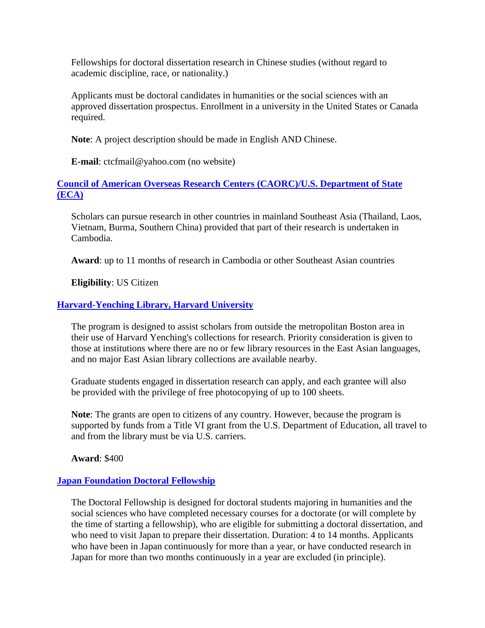Fellowships for doctoral dissertation research in Chinese studies (without regard to academic discipline, race, or nationality.)

Applicants must be doctoral candidates in humanities or the social sciences with an approved dissertation prospectus. Enrollment in a university in the United States or Canada required.

**Note**: A project description should be made in English AND Chinese.

**E-mail**: ctcfmail@yahoo.com (no website)

# **[Council of American Overseas Research Centers \(CAORC\)/U.S. Department of State](http://www.khmerstudies.org/fellowships/usa-fellowships)  [\(ECA\)](http://www.khmerstudies.org/fellowships/usa-fellowships)**

Scholars can pursue research in other countries in mainland Southeast Asia (Thailand, Laos, Vietnam, Burma, Southern China) provided that part of their research is undertaken in Cambodia.

**Award**: up to 11 months of research in Cambodia or other Southeast Asian countries

**Eligibility**: US Citizen

# **[Harvard-Yenching Library, Harvard University](http://hcl.harvard.edu/libraries/harvard-yenching/travel_grant_program.cfm)**

The program is designed to assist scholars from outside the metropolitan Boston area in their use of Harvard Yenching's collections for research. Priority consideration is given to those at institutions where there are no or few library resources in the East Asian languages, and no major East Asian library collections are available nearby.

Graduate students engaged in dissertation research can apply, and each grantee will also be provided with the privilege of free photocopying of up to 100 sheets.

**Note**: The grants are open to citizens of any country. However, because the program is supported by funds from a Title VI grant from the U.S. Department of Education, all travel to and from the library must be via U.S. carriers.

**Award**: \$400

## **[Japan Foundation Doctoral Fellowship](http://www.jfny.org/japanese_studies/fellowship.html)**

The Doctoral Fellowship is designed for doctoral students majoring in humanities and the social sciences who have completed necessary courses for a doctorate (or will complete by the time of starting a fellowship), who are eligible for submitting a doctoral dissertation, and who need to visit Japan to prepare their dissertation. Duration: 4 to 14 months. Applicants who have been in Japan continuously for more than a year, or have conducted research in Japan for more than two months continuously in a year are excluded (in principle).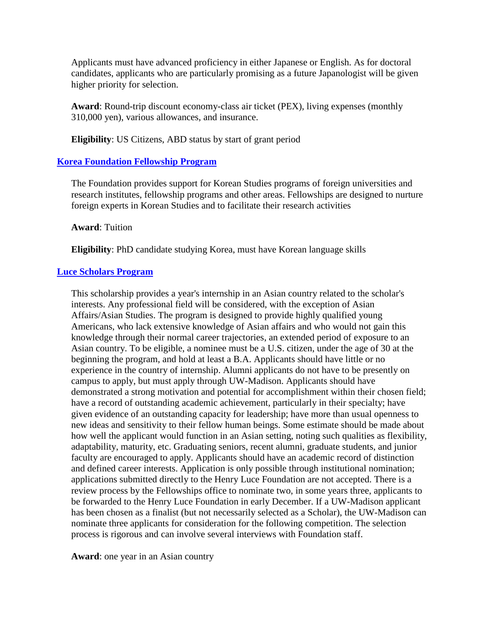Applicants must have advanced proficiency in either Japanese or English. As for doctoral candidates, applicants who are particularly promising as a future Japanologist will be given higher priority for selection.

**Award**: Round-trip discount economy-class air ticket (PEX), living expenses (monthly 310,000 yen), various allowances, and insurance.

**Eligibility**: US Citizens, ABD status by start of grant period

## **[Korea Foundation Fellowship Program](https://en.kf.or.kr/?menuno=3793&kflnbindex=)**

The Foundation provides support for Korean Studies programs of foreign universities and research institutes, fellowship programs and other areas. Fellowships are designed to nurture foreign experts in Korean Studies and to facilitate their research activities

**Award**: Tuition

**Eligibility**: PhD candidate studying Korea, must have Korean language skills

#### **[Luce Scholars Program](http://www.hluce.org/asia.aspx)**

This scholarship provides a year's internship in an Asian country related to the scholar's interests. Any professional field will be considered, with the exception of Asian Affairs/Asian Studies. The program is designed to provide highly qualified young Americans, who lack extensive knowledge of Asian affairs and who would not gain this knowledge through their normal career trajectories, an extended period of exposure to an Asian country. To be eligible, a nominee must be a U.S. citizen, under the age of 30 at the beginning the program, and hold at least a B.A. Applicants should have little or no experience in the country of internship. Alumni applicants do not have to be presently on campus to apply, but must apply through UW-Madison. Applicants should have demonstrated a strong motivation and potential for accomplishment within their chosen field; have a record of outstanding academic achievement, particularly in their specialty; have given evidence of an outstanding capacity for leadership; have more than usual openness to new ideas and sensitivity to their fellow human beings. Some estimate should be made about how well the applicant would function in an Asian setting, noting such qualities as flexibility, adaptability, maturity, etc. Graduating seniors, recent alumni, graduate students, and junior faculty are encouraged to apply. Applicants should have an academic record of distinction and defined career interests. Application is only possible through institutional nomination; applications submitted directly to the Henry Luce Foundation are not accepted. There is a review process by the Fellowships office to nominate two, in some years three, applicants to be forwarded to the Henry Luce Foundation in early December. If a UW-Madison applicant has been chosen as a finalist (but not necessarily selected as a Scholar), the UW-Madison can nominate three applicants for consideration for the following competition. The selection process is rigorous and can involve several interviews with Foundation staff.

**Award**: one year in an Asian country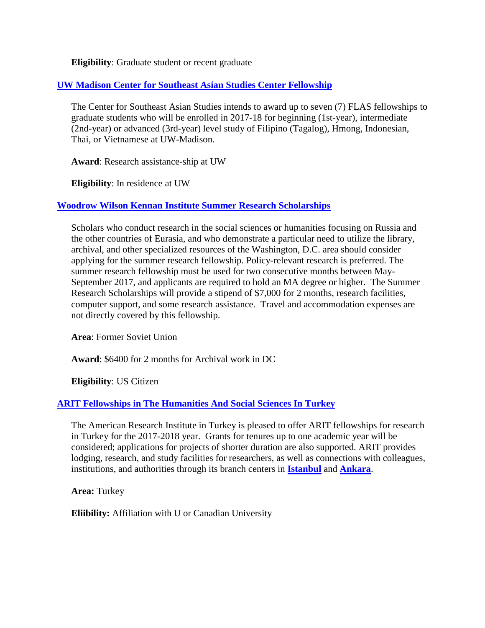**Eligibility**: Graduate student or recent graduate

## **[UW Madison Center for Southeast Asian Studies Center Fellowship](http://seasia.wisc.edu/home-page/for-students/financial-aid/%23FLAS_Grad)**

The Center for Southeast Asian Studies intends to award up to seven (7) FLAS fellowships to graduate students who will be enrolled in 2017-18 for beginning (1st-year), intermediate (2nd-year) or advanced (3rd-year) level study of Filipino (Tagalog), Hmong, Indonesian, Thai, or Vietnamese at UW-Madison.

**Award**: Research assistance-ship at UW

**Eligibility**: In residence at UW

## **[Woodrow Wilson Kennan Institute Summer Research Scholarships](https://www.wilsoncenter.org/opportunity/kennan-institute-summer-research-scholarships)**

Scholars who conduct research in the social sciences or humanities focusing on Russia and the other countries of Eurasia, and who demonstrate a particular need to utilize the library, archival, and other specialized resources of the Washington, D.C. area should consider applying for the summer research fellowship. Policy-relevant research is preferred. The summer research fellowship must be used for two consecutive months between May-September 2017, and applicants are required to hold an MA degree or higher. The Summer Research Scholarships will provide a stipend of \$7,000 for 2 months, research facilities, computer support, and some research assistance. Travel and accommodation expenses are not directly covered by this fellowship.

**Area**: Former Soviet Union

**Award**: \$6400 for 2 months for Archival work in DC

**Eligibility**: US Citizen

## **[ARIT Fellowships in The Humanities And Social Sciences In Turkey](http://ccat.sas.upenn.edu/ARIT/ARITFellowships.html)**

The American Research Institute in Turkey is pleased to offer ARIT fellowships for research in Turkey for the 2017-2018 year. Grants for tenures up to one academic year will be considered; applications for projects of shorter duration are also supported. ARIT provides lodging, research, and study facilities for researchers, as well as connections with colleagues, institutions, and authorities through its branch centers in **[Istanbul](http://ccat.sas.upenn.edu/ARIT/IstanbulCenter.html)** and **[Ankara](http://ccat.sas.upenn.edu/ARIT/AnkaraCenter.html)**.

**Area:** Turkey

**Eliibility:** Affiliation with U or Canadian University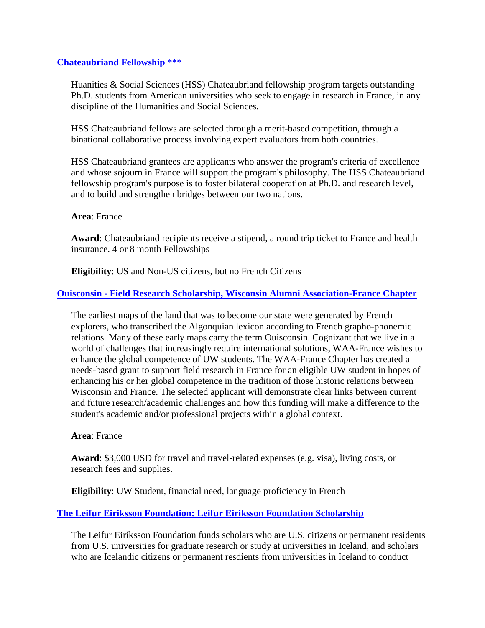#### **[Chateaubriand Fellowship](https://www.france-science.org/The-Chateaubriand-Fellowship)** \*\*\*

Huanities & Social Sciences (HSS) Chateaubriand fellowship program targets outstanding Ph.D. students from American universities who seek to engage in research in France, in any discipline of the Humanities and Social Sciences.

HSS Chateaubriand fellows are selected through a merit-based competition, through a binational collaborative process involving expert evaluators from both countries.

HSS Chateaubriand grantees are applicants who answer the program's criteria of excellence and whose sojourn in France will support the program's philosophy. The HSS Chateaubriand fellowship program's purpose is to foster bilateral cooperation at Ph.D. and research level, and to build and strengthen bridges between our two nations.

#### **Area**: France

**Award**: Chateaubriand recipients receive a stipend, a round trip ticket to France and health insurance. 4 or 8 month Fellowships

**Eligibility**: US and Non-US citizens, but no French Citizens

#### **Ouisconsin - [Field Research Scholarship, Wisconsin Alumni Association-France Chapter](http://chapters.uwalumni.com/france/ouisconsinscholarship/)**

The earliest maps of the land that was to become our state were generated by French explorers, who transcribed the Algonquian lexicon according to French grapho-phonemic relations. Many of these early maps carry the term Ouisconsin. Cognizant that we live in a world of challenges that increasingly require international solutions, WAA-France wishes to enhance the global competence of UW students. The WAA-France Chapter has created a needs-based grant to support field research in France for an eligible UW student in hopes of enhancing his or her global competence in the tradition of those historic relations between Wisconsin and France. The selected applicant will demonstrate clear links between current and future research/academic challenges and how this funding will make a difference to the student's academic and/or professional projects within a global context.

#### **Area**: France

**Award**: \$3,000 USD for travel and travel-related expenses (e.g. visa), living costs, or research fees and supplies.

**Eligibility**: UW Student, financial need, language proficiency in French

## **[The Leifur Eiriksson Foundation: Leifur Eiriksson Foundation Scholarship](http://www.leifureirikssonfoundation.org/scholarship/)**

The Leifur Eiríksson Foundation funds scholars who are U.S. citizens or permanent residents from U.S. universities for graduate research or study at universities in Iceland, and scholars who are Icelandic citizens or permanent resdients from universities in Iceland to conduct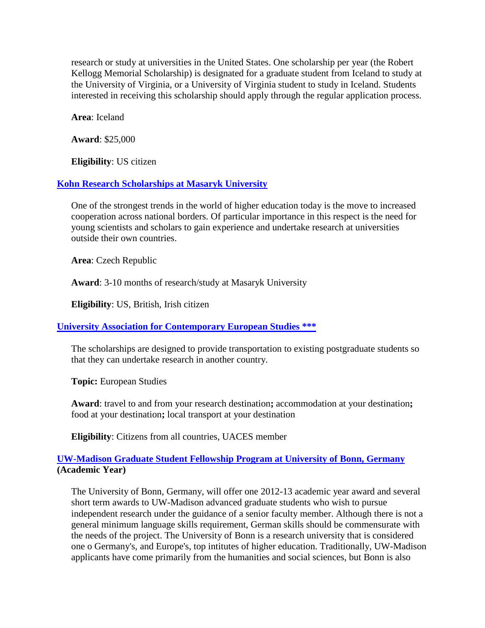research or study at universities in the United States. One scholarship per year (the Robert Kellogg Memorial Scholarship) is designated for a graduate student from Iceland to study at the University of Virginia, or a University of Virginia student to study in Iceland. Students interested in receiving this scholarship should apply through the regular application process.

**Area**: Iceland

**Award**: \$25,000

**Eligibility**: US citizen

#### **[Kohn Research Scholarships at Masaryk University](https://cic.muni.cz/en/left-incoming-mobility/incoming-student/incoming-student-scholarships/incoming-student-scholarships-kohn)**

One of the strongest trends in the world of higher education today is the move to increased cooperation across national borders. Of particular importance in this respect is the need for young scientists and scholars to gain experience and undertake research at universities outside their own countries.

**Area**: Czech Republic

**Award**: 3-10 months of research/study at Masaryk University

**Eligibility**: US, British, Irish citizen

**[University Association for Contemporary European Studies \\*\\*\\*](http://www.uaces.org/funding/scholarships/)**

The scholarships are designed to provide transportation to existing postgraduate students so that they can undertake research in another country.

**Topic:** European Studies

**Award**: travel to and from your research destination**;** accommodation at your destination**;**  food at your destination**;** local transport at your destination

**Eligibility**: Citizens from all countries, UACES member

#### **[UW-Madison Graduate Student Fellowship Program at University of Bonn, Germany](http://fellowships.international.wisc.edu/graduate-fellowship-university-of-bonn-germany/) (Academic Year)**

The University of Bonn, Germany, will offer one 2012-13 academic year award and several short term awards to UW-Madison advanced graduate students who wish to pursue independent research under the guidance of a senior faculty member. Although there is not a general minimum language skills requirement, German skills should be commensurate with the needs of the project. The University of Bonn is a research university that is considered one o Germany's, and Europe's, top intitutes of higher education. Traditionally, UW-Madison applicants have come primarily from the humanities and social sciences, but Bonn is also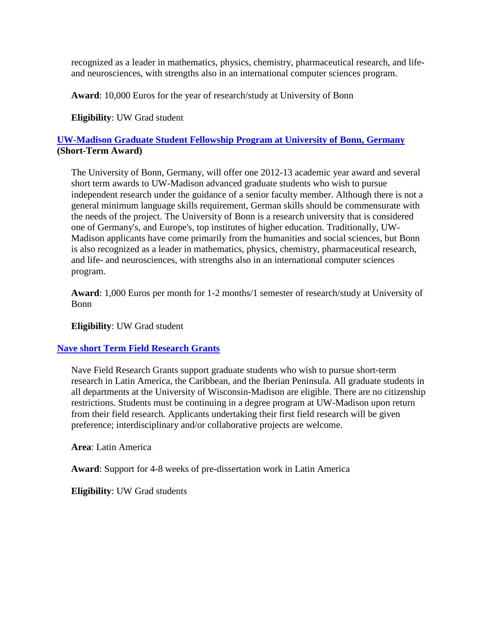recognized as a leader in mathematics, physics, chemistry, pharmaceutical research, and lifeand neurosciences, with strengths also in an international computer sciences program.

**Award**: 10,000 Euros for the year of research/study at University of Bonn

**Eligibility**: UW Grad student

# **[UW-Madison Graduate Student Fellowship Program at University of Bonn, Germany](http://fellowships.international.wisc.edu/graduate-fellowship-university-of-bonn-germany/) (Short-Term Award)**

The University of Bonn, Germany, will offer one 2012-13 academic year award and several short term awards to UW-Madison advanced graduate students who wish to pursue independent research under the guidance of a senior faculty member. Although there is not a general minimum language skills requirement, German skills should be commensurate with the needs of the project. The University of Bonn is a research university that is considered one of Germany's, and Europe's, top institutes of higher education. Traditionally, UW-Madison applicants have come primarily from the humanities and social sciences, but Bonn is also recognized as a leader in mathematics, physics, chemistry, pharmaceutical research, and life- and neurosciences, with strengths also in an international computer sciences program.

**Award**: 1,000 Euros per month for 1-2 months/1 semester of research/study at University of Bonn

**Eligibility**: UW Grad student

## **[Nave short Term Field Research Grants](http://www.lacis.wisc.edu/content/nave_short_term_field_research_grants)**

Nave Field Research Grants support graduate students who wish to pursue short-term research in Latin America, the Caribbean, and the Iberian Peninsula. All graduate students in all departments at the University of Wisconsin-Madison are eligible. There are no citizenship restrictions. Students must be continuing in a degree program at UW-Madison upon return from their field research. Applicants undertaking their first field research will be given preference; interdisciplinary and/or collaborative projects are welcome.

**Area**: Latin America

**Award**: Support for 4-8 weeks of pre-dissertation work in Latin America

**Eligibility**: UW Grad students